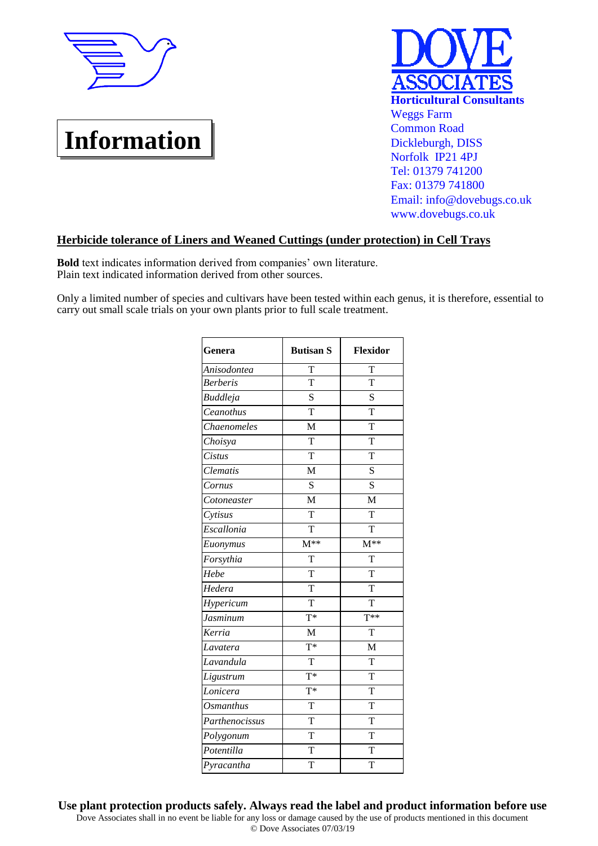

## **Information**



## **Herbicide tolerance of Liners and Weaned Cuttings (under protection) in Cell Trays**

**Bold** text indicates information derived from companies' own literature. Plain text indicated information derived from other sources.

Only a limited number of species and cultivars have been tested within each genus, it is therefore, essential to carry out small scale trials on your own plants prior to full scale treatment.

| Genera           | <b>Butisan S</b>        | Flexidor            |
|------------------|-------------------------|---------------------|
| Anisodontea      | T                       | T                   |
| <b>Berberis</b>  | T                       | T                   |
| <b>Buddleja</b>  | S                       | S                   |
| Ceanothus        | $\overline{T}$          | $\overline{T}$      |
| Chaenomeles      | M                       | T                   |
| Choisya          | $\overline{\mathrm{T}}$ | T                   |
| Cistus           | T                       | T                   |
| Clematis         | M                       | S                   |
| Cornus           | S                       | S                   |
| Cotoneaster      | M                       | M                   |
| Cytisus          | T                       | T                   |
| Escallonia       | T                       | T                   |
| Euonymus         | $M^{**}$                | $\overline{M^{**}}$ |
| Forsythia        | T                       | T                   |
| Hebe             | T                       | T                   |
| Hedera           | T                       | T                   |
| Hypericum        | T                       | T                   |
| Jasminum         | $T^*$                   | $\overline{T^{**}}$ |
| Kerria           | M                       | T                   |
| Lavatera         | $T^*$                   | M                   |
| Lavandula        | T                       | T                   |
| Ligustrum        | $\overline{T}^*$        | T                   |
| Lonicera         | $T^*$                   | T                   |
| <b>Osmanthus</b> | T                       | T                   |
| Parthenocissus   | T                       | T                   |
| Polygonum        | $\overline{T}$          | $\overline{T}$      |
| Potentilla       | T                       | T                   |
| Pyracantha       | T                       | T                   |

Dove Associates shall in no event be liable for any loss or damage caused by the use of products mentioned in this document © Dove Associates 07/03/19